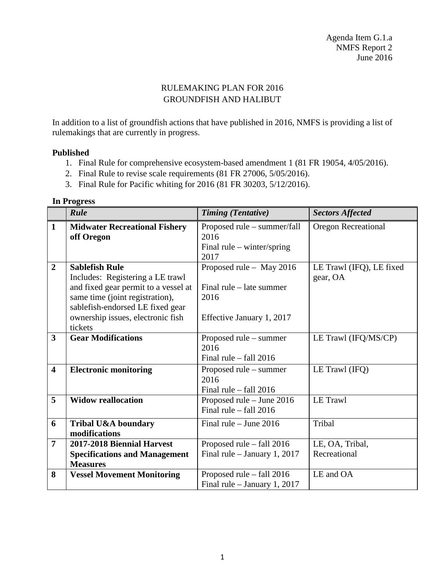## RULEMAKING PLAN FOR 2016 GROUNDFISH AND HALIBUT

In addition to a list of groundfish actions that have published in 2016, NMFS is providing a list of rulemakings that are currently in progress.

## **Published**

- 1. Final Rule for comprehensive ecosystem-based amendment 1 (81 FR 19054, 4/05/2016).
- 2. Final Rule to revise scale requirements (81 FR 27006, 5/05/2016).
- 3. Final Rule for Pacific whiting for 2016 (81 FR 30203, 5/12/2016).

|                         | Rule                                 | <b>Timing (Tentative)</b>    | <b>Sectors Affected</b>    |
|-------------------------|--------------------------------------|------------------------------|----------------------------|
| $\mathbf{1}$            | <b>Midwater Recreational Fishery</b> | Proposed rule – summer/fall  | <b>Oregon Recreational</b> |
|                         | off Oregon                           | 2016                         |                            |
|                         |                                      | Final rule $-$ winter/spring |                            |
|                         |                                      | 2017                         |                            |
| $\overline{2}$          | <b>Sablefish Rule</b>                | Proposed rule - May 2016     | LE Trawl (IFQ), LE fixed   |
|                         | Includes: Registering a LE trawl     |                              | gear, OA                   |
|                         | and fixed gear permit to a vessel at | Final rule $-$ late summer   |                            |
|                         | same time (joint registration),      | 2016                         |                            |
|                         | sablefish-endorsed LE fixed gear     |                              |                            |
|                         | ownership issues, electronic fish    | Effective January 1, 2017    |                            |
|                         | tickets                              |                              |                            |
| $\overline{\mathbf{3}}$ | <b>Gear Modifications</b>            | Proposed rule – summer       | LE Trawl (IFQ/MS/CP)       |
|                         |                                      | 2016                         |                            |
|                         |                                      | Final rule $-$ fall 2016     |                            |
| $\overline{\mathbf{4}}$ | <b>Electronic monitoring</b>         | Proposed rule – summer       | LE Trawl (IFQ)             |
|                         |                                      | 2016                         |                            |
|                         |                                      | Final rule $-$ fall 2016     |                            |
| 5                       | <b>Widow reallocation</b>            | Proposed rule – June 2016    | LE Trawl                   |
|                         |                                      | Final rule $-$ fall 2016     |                            |
| 6                       | Tribal U&A boundary                  | Final rule $-$ June 2016     | Tribal                     |
|                         | modifications                        |                              |                            |
| $\overline{7}$          | 2017-2018 Biennial Harvest           | Proposed rule – fall 2016    | LE, OA, Tribal,            |
|                         | <b>Specifications and Management</b> | Final rule – January 1, 2017 | Recreational               |
|                         | <b>Measures</b>                      |                              |                            |
| 8                       | <b>Vessel Movement Monitoring</b>    | Proposed rule – fall 2016    | LE and OA                  |
|                         |                                      | Final rule - January 1, 2017 |                            |

## **In Progress**